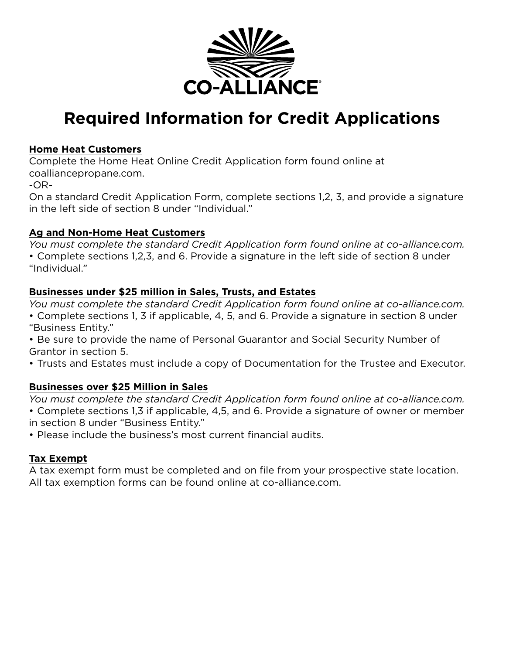

# **Required Information for Credit Applications**

#### **Home Heat Customers**

Complete the Home Heat Online Credit Application form found online at coalliancepropane.com.

-OR-

On a standard Credit Application Form, complete sections 1,2, 3, and provide a signature in the left side of section 8 under "Individual."

### **Ag and Non-Home Heat Customers**

*You must complete the standard Credit Application form found online at co-alliance.com.* • Complete sections 1,2,3, and 6. Provide a signature in the left side of section 8 under "Individual."

## **Businesses under \$25 million in Sales, Trusts, and Estates**

*You must complete the standard Credit Application form found online at co-alliance.com.*  • Complete sections 1, 3 if applicable, 4, 5, and 6. Provide a signature in section 8 under "Business Entity."

• Be sure to provide the name of Personal Guarantor and Social Security Number of Grantor in section 5.

• Trusts and Estates must include a copy of Documentation for the Trustee and Executor.

## **Businesses over \$25 Million in Sales**

*You must complete the standard Credit Application form found online at co-alliance.com.* • Complete sections 1,3 if applicable, 4,5, and 6. Provide a signature of owner or member in section 8 under "Business Entity."

• Please include the business's most current financial audits.

## **Tax Exempt**

A tax exempt form must be completed and on file from your prospective state location. All tax exemption forms can be found online at co-alliance.com.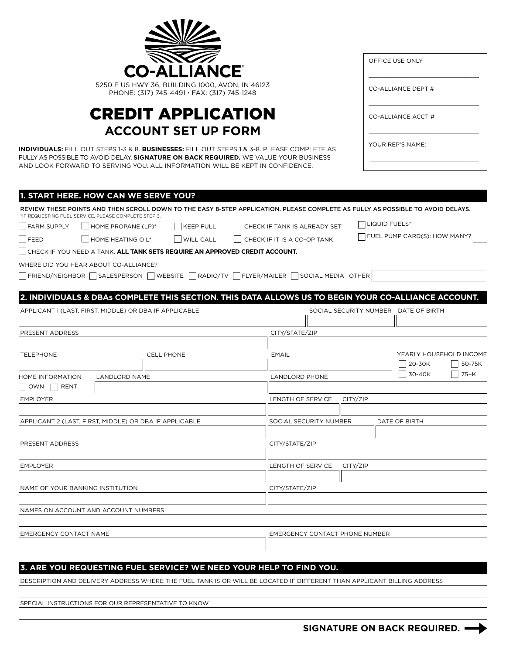|                                                                                                                                                                                                                                                                                                          |                                                                                                                                                                        | <b>CO-ALLIANCE</b> |                               |                                |                    |                  | OFFICE USE ONLY                      |                         |
|----------------------------------------------------------------------------------------------------------------------------------------------------------------------------------------------------------------------------------------------------------------------------------------------------------|------------------------------------------------------------------------------------------------------------------------------------------------------------------------|--------------------|-------------------------------|--------------------------------|--------------------|------------------|--------------------------------------|-------------------------|
| 5250 E US HWY 36, BUILDING 1000, AVON, IN 46123<br>PHONE: (317) 745-4491 · FAX: (317) 745-1248                                                                                                                                                                                                           |                                                                                                                                                                        |                    |                               |                                | CO-ALLIANCE DEPT # |                  |                                      |                         |
|                                                                                                                                                                                                                                                                                                          | <b>CREDIT APPLICATION</b>                                                                                                                                              |                    |                               |                                |                    |                  | CO-ALLIANCE ACCT #                   |                         |
| <b>ACCOUNT SET UP FORM</b><br><b>INDIVIDUALS:</b> FILL OUT STEPS 1-3 & 8. BUSINESSES: FILL OUT STEPS 1 & 3-8. PLEASE COMPLETE AS<br>FULLY AS POSSIBLE TO AVOID DELAY. SIGNATURE ON BACK REQUIRED. WE VALUE YOUR BUSINESS<br>AND LOOK FORWARD TO SERVING YOU. ALL INFORMATION WILL BE KEPT IN CONFIDENCE. |                                                                                                                                                                        |                    |                               |                                |                    | YOUR REP'S NAME: |                                      |                         |
|                                                                                                                                                                                                                                                                                                          | 1. START HERE. HOW CAN WE SERVE YOU?<br>REVIEW THESE POINTS AND THEN SCROLL DOWN TO THE EASY 8-STEP APPLICATION. PLEASE COMPLETE AS FULLY AS POSSIBLE TO AVOID DELAYS. |                    |                               |                                |                    |                  |                                      |                         |
|                                                                                                                                                                                                                                                                                                          | *IF REQUESTING FUEL SERVICE, PLEASE COMPLETE STEP 3.                                                                                                                   |                    |                               |                                |                    | LIQUID FUELS*    |                                      |                         |
| <b>FARM SUPPLY</b>                                                                                                                                                                                                                                                                                       | HOME PROPANE (LP)*                                                                                                                                                     | KEEP FULL          |                               | CHECK IF TANK IS ALREADY SET   |                    |                  | FUEL PUMP CARD(S): HOW MANY?         |                         |
| <b>IFEED</b>                                                                                                                                                                                                                                                                                             | HOME HEATING OIL*                                                                                                                                                      | <b>WILL CALL</b>   |                               | CHECK IF IT IS A CO-OP TANK    |                    |                  |                                      |                         |
|                                                                                                                                                                                                                                                                                                          | CHECK IF YOU NEED A TANK. <b>ALL TANK SETS REQUIRE AN APPROVED CREDIT ACCOUNT.</b>                                                                                     |                    |                               |                                |                    |                  |                                      |                         |
|                                                                                                                                                                                                                                                                                                          | WHERE DID YOU HEAR ABOUT CO-ALLIANCE?                                                                                                                                  |                    |                               |                                |                    |                  |                                      |                         |
|                                                                                                                                                                                                                                                                                                          | FRIEND/NEIGHBOR SALESPERSON WEBSITE RADIO/TV FLYER/MAILER SOCIAL MEDIA OTHER                                                                                           |                    |                               |                                |                    |                  |                                      |                         |
|                                                                                                                                                                                                                                                                                                          | 2. INDIVIDUALS & DBAs COMPLETE THIS SECTION. THIS DATA ALLOWS US TO BEGIN YOUR CO-ALLIANCE ACCOUNT.                                                                    |                    |                               |                                |                    |                  |                                      |                         |
|                                                                                                                                                                                                                                                                                                          | APPLICANT 1 (LAST, FIRST, MIDDLE) OR DBA IF APPLICABLE                                                                                                                 |                    |                               |                                |                    |                  | SOCIAL SECURITY NUMBER DATE OF BIRTH |                         |
|                                                                                                                                                                                                                                                                                                          |                                                                                                                                                                        |                    |                               |                                |                    |                  |                                      |                         |
| PRESENT ADDRESS                                                                                                                                                                                                                                                                                          |                                                                                                                                                                        |                    |                               | CITY/STATE/ZIP                 |                    |                  |                                      |                         |
|                                                                                                                                                                                                                                                                                                          |                                                                                                                                                                        |                    |                               |                                |                    |                  |                                      |                         |
| <b>TELEPHONE</b>                                                                                                                                                                                                                                                                                         |                                                                                                                                                                        | <b>CELL PHONE</b>  |                               | <b>EMAIL</b>                   |                    |                  |                                      | YEARLY HOUSEHOLD INCOME |
|                                                                                                                                                                                                                                                                                                          |                                                                                                                                                                        |                    |                               |                                |                    |                  | $ 20-30K$                            | 50-75K                  |
| <b>HOME INFORMATION</b><br><b>OWN</b><br>RENT                                                                                                                                                                                                                                                            | <b>LANDLORD NAME</b>                                                                                                                                                   |                    |                               | <b>LANDLORD PHONE</b>          |                    |                  | 30-40K                               | 75+K                    |
| <b>EMPLOYER</b>                                                                                                                                                                                                                                                                                          |                                                                                                                                                                        |                    |                               | LENGTH OF SERVICE<br>CITY/ZIP  |                    |                  |                                      |                         |
| APPLICANT 2 (LAST, FIRST, MIDDLE) OR DBA IF APPLICABLE                                                                                                                                                                                                                                                   |                                                                                                                                                                        |                    | SOCIAL SECURITY NUMBER        |                                |                    | DATE OF BIRTH    |                                      |                         |
| PRESENT ADDRESS                                                                                                                                                                                                                                                                                          |                                                                                                                                                                        |                    |                               | CITY/STATE/ZIP                 |                    |                  |                                      |                         |
| <b>EMPLOYER</b>                                                                                                                                                                                                                                                                                          |                                                                                                                                                                        |                    | LENGTH OF SERVICE<br>CITY/ZIP |                                |                    |                  |                                      |                         |
| NAME OF YOUR BANKING INSTITUTION                                                                                                                                                                                                                                                                         |                                                                                                                                                                        |                    |                               | CITY/STATE/ZIP                 |                    |                  |                                      |                         |
|                                                                                                                                                                                                                                                                                                          | NAMES ON ACCOUNT AND ACCOUNT NUMBERS                                                                                                                                   |                    |                               |                                |                    |                  |                                      |                         |
|                                                                                                                                                                                                                                                                                                          |                                                                                                                                                                        |                    |                               |                                |                    |                  |                                      |                         |
| EMERGENCY CONTACT NAME                                                                                                                                                                                                                                                                                   |                                                                                                                                                                        |                    |                               | EMERGENCY CONTACT PHONE NUMBER |                    |                  |                                      |                         |
|                                                                                                                                                                                                                                                                                                          |                                                                                                                                                                        |                    |                               |                                |                    |                  |                                      |                         |

#### **3. ARE YOU REQUESTING FUEL SERVICE? WE NEED YOUR HELP TO FIND YOU.**

 $\sim$ 

DESCRIPTION AND DELIVERY ADDRESS WHERE THE FUEL TANK IS OR WILL BE LOCATED IF DIFFERENT THAN APPLICANT BILLING ADDRESS

SPECIAL INSTRUCTIONS FOR OUR REPRESENTATIVE TO KNOW